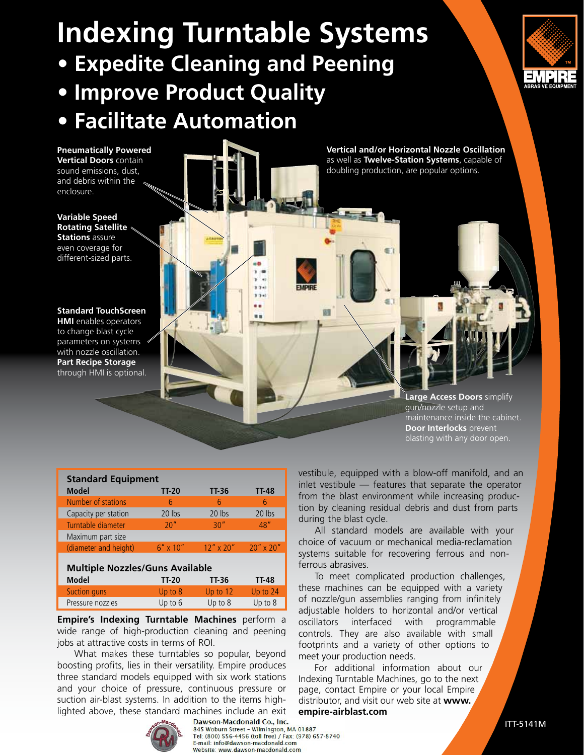# **Indexing Turntable Systems**

**• Expedite Cleaning and Peening**

## **• Improve Product Quality • Facilitate Automation**

EMPR<br>ABRASIVE EQUIPY

**Pneumatically Powered Vertical Doors** contain sound emissions, dust, and debris within the enclosure.

**Variable Speed Rotating Satellite Stations** assure even coverage for different-sized parts.

**Standard TouchScreen** 

**HMI** enables operators to change blast cycle parameters on systems with nozzle oscillation. **Part Recipe Storage**  through HMI is optional.



**Large Access Doors** simplify gun/nozzle setup and maintenance inside the cabinet. **Door Interlocks** prevent blasting with any door open.

| <b>Standard Equipment</b>              |                                                                                                         |              |                 |
|----------------------------------------|---------------------------------------------------------------------------------------------------------|--------------|-----------------|
| <b>Model</b>                           | $TT-20$                                                                                                 | <b>TT-36</b> | <b>TT-48</b>    |
| Number of stations                     | 6                                                                                                       | 6            | 6               |
| Capacity per station                   | 20 lbs                                                                                                  | 20 lbs       | 20 lbs          |
| Turntable diameter                     | 20"                                                                                                     | 30''         | 48''            |
| Maximum part size                      |                                                                                                         |              |                 |
| (diameter and height)                  | $6'' \times 10''$                                                                                       | $12''$ x 20" | $20''$ x $20''$ |
|                                        |                                                                                                         |              |                 |
| <b>Multiple Nozzles/Guns Available</b> |                                                                                                         |              |                 |
| <b>Model</b>                           | TT-20                                                                                                   | TT-36        | TT-48           |
| Consideration of the constant of       | $\mathbf{1}$ $\mathbf{1}$ $\mathbf{1}$ $\mathbf{1}$ $\mathbf{1}$ $\mathbf{1}$ $\mathbf{1}$ $\mathbf{1}$ | 11.22.42     | 11.2.2.74       |

Suction guns Up to 8 Up to 12 Up to 24 Pressure nozzles Up to 6 Up to 8 Up to 8

**Empire's Indexing Turntable Machines** perform a wide range of high-production cleaning and peening jobs at attractive costs in terms of ROI.

What makes these turntables so popular, beyond boosting profits, lies in their versatility. Empire produces three standard models equipped with six work stations and your choice of pressure, continuous pressure or suction air-blast systems. In addition to the items highlighted above, these standard machines include an exit



Dawson-Macdonald Co., Inc.

845 Woburn Street - Wilmington, MA 01887<br>Tel: (800) 556-4456 (toll free) / Fax: (978) 657-8740 E-mail: info@dawson-macdonald.com Website: www.dawson-macdonald.com

vestibule, equipped with a blow-off manifold, and an inlet vestibule — features that separate the operator from the blast environment while increasing production by cleaning residual debris and dust from parts during the blast cycle.

 All standard models are available with your choice of vacuum or mechanical media-reclamation systems suitable for recovering ferrous and nonferrous abrasives.

 To meet complicated production challenges, these machines can be equipped with a variety of nozzle/gun assemblies ranging from infinitely adjustable holders to horizontal and/or vertical oscillators interfaced with programmable controls. They are also available with small footprints and a variety of other options to meet your production needs.

 For additional information about our Indexing Turntable Machines, go to the next page, contact Empire or your local Empire distributor, and visit our web site at **www. empire-airblast.com**